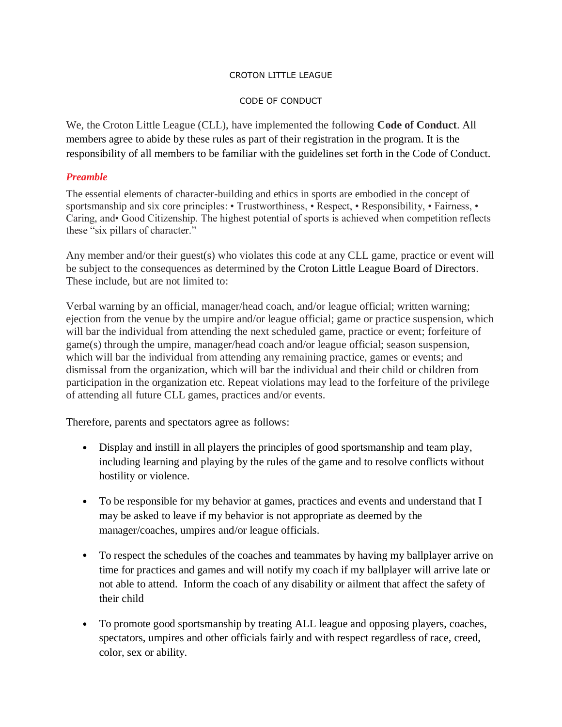## CROTON LITTLE LEAGUE

## CODE OF CONDUCT

We, the Croton Little League (CLL), have implemented the following **Code of Conduct**. All members agree to abide by these rules as part of their registration in the program. It is the responsibility of all members to be familiar with the guidelines set forth in the Code of Conduct.

## *Preamble*

The essential elements of character-building and ethics in sports are embodied in the concept of sportsmanship and six core principles: • Trustworthiness, • Respect, • Responsibility, • Fairness, • Caring, and• Good Citizenship. The highest potential of sports is achieved when competition reflects these "six pillars of character."

Any member and/or their guest(s) who violates this code at any CLL game, practice or event will be subject to the consequences as determined by the Croton Little League Board of Directors. These include, but are not limited to:

Verbal warning by an official, manager/head coach, and/or league official; written warning; ejection from the venue by the umpire and/or league official; game or practice suspension, which will bar the individual from attending the next scheduled game, practice or event; forfeiture of game(s) through the umpire, manager/head coach and/or league official; season suspension, which will bar the individual from attending any remaining practice, games or events; and dismissal from the organization, which will bar the individual and their child or children from participation in the organization etc. Repeat violations may lead to the forfeiture of the privilege of attending all future CLL games, practices and/or events.

Therefore, parents and spectators agree as follows:

- Display and instill in all players the principles of good sportsmanship and team play, including learning and playing by the rules of the game and to resolve conflicts without hostility or violence.
- To be responsible for my behavior at games, practices and events and understand that I may be asked to leave if my behavior is not appropriate as deemed by the manager/coaches, umpires and/or league officials.
- To respect the schedules of the coaches and teammates by having my ballplayer arrive on time for practices and games and will notify my coach if my ballplayer will arrive late or not able to attend. Inform the coach of any disability or ailment that affect the safety of their child
- To promote good sportsmanship by treating ALL league and opposing players, coaches, spectators, umpires and other officials fairly and with respect regardless of race, creed, color, sex or ability.